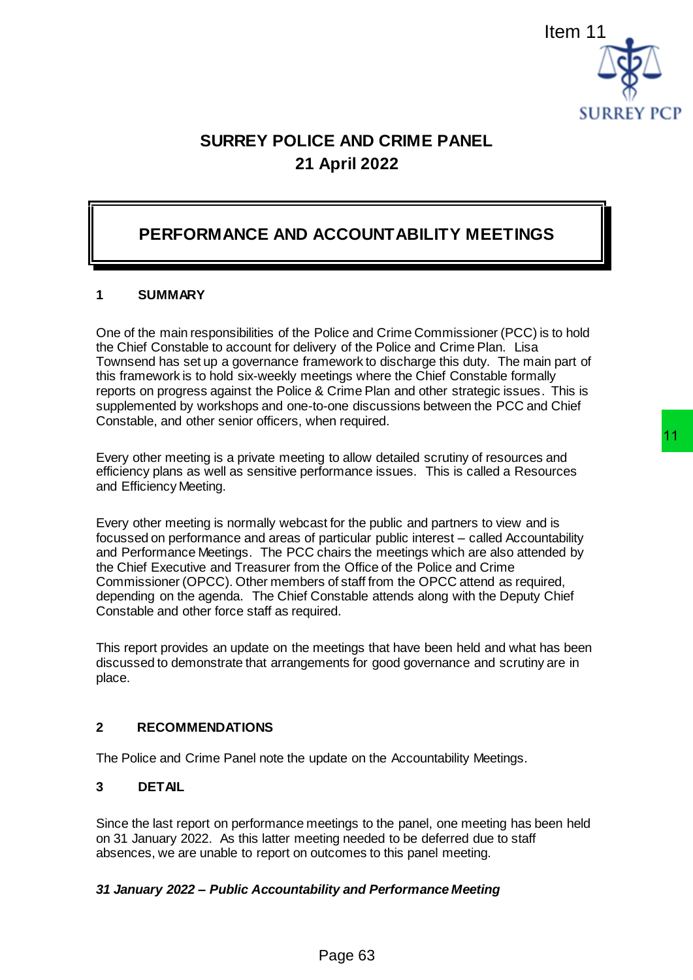

# **SURREY POLICE AND CRIME PANEL 21 April 2022**

# **PERFORMANCE AND ACCOUNTABILITY MEETINGS**

## **1 SUMMARY**

One of the main responsibilities of the Police and Crime Commissioner (PCC) is to hold the Chief Constable to account for delivery of the Police and Crime Plan. Lisa Townsend has set up a governance framework to discharge this duty. The main part of this framework is to hold six-weekly meetings where the Chief Constable formally reports on progress against the Police & Crime Plan and other strategic issues. This is supplemented by workshops and one-to-one discussions between the PCC and Chief Constable, and other senior officers, when required. Item 11<br>
SURREY PCI<br>
SURREY PCI<br>
SURREY PCI<br>
April 2022<br>
<br>
MCCOUNTABILITY MEETINGS<br>
Police and Crime Commissioner (PCC) is to hold<br>
ey of the Police and Crime Plan space this daty. The main part of<br>
erings where the Chief

Every other meeting is a private meeting to allow detailed scrutiny of resources and efficiency plans as well as sensitive performance issues. This is called a Resources and Efficiency Meeting.

Every other meeting is normally webcast for the public and partners to view and is focussed on performance and areas of particular public interest – called Accountability and Performance Meetings. The PCC chairs the meetings which are also attended by the Chief Executive and Treasurer from the Office of the Police and Crime Commissioner (OPCC). Other members of staff from the OPCC attend as required, depending on the agenda. The Chief Constable attends along with the Deputy Chief Constable and other force staff as required.

This report provides an update on the meetings that have been held and what has been discussed to demonstrate that arrangements for good governance and scrutiny are in place.

#### **2 RECOMMENDATIONS**

The Police and Crime Panel note the update on the Accountability Meetings.

### **3 DETAIL**

Since the last report on performance meetings to the panel, one meeting has been held on 31 January 2022. As this latter meeting needed to be deferred due to staff absences, we are unable to report on outcomes to this panel meeting.

#### *31 January 2022 – Public Accountability and Performance Meeting*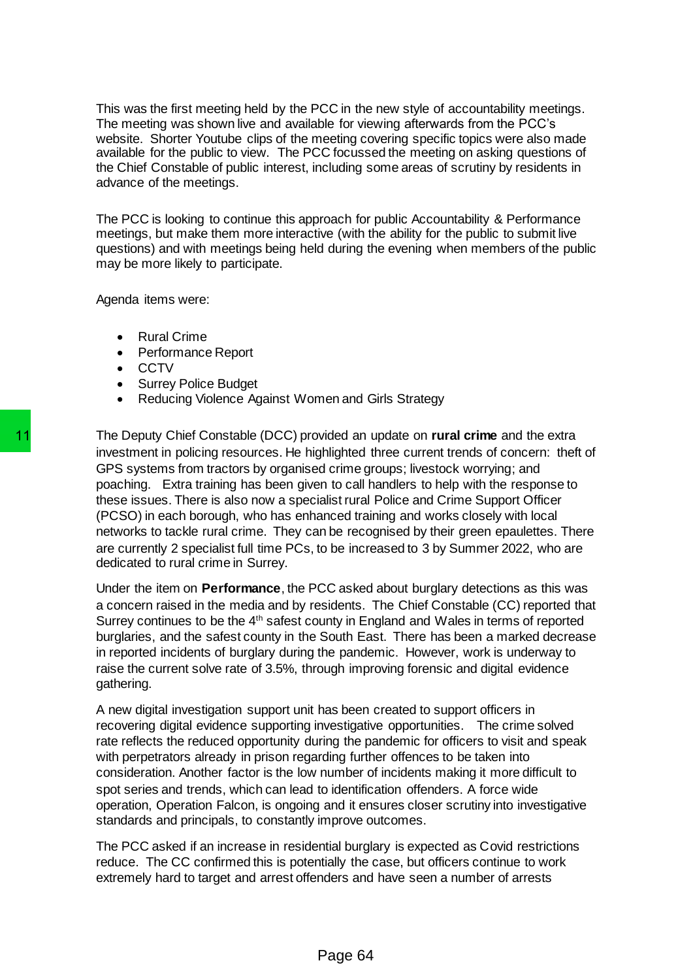This was the first meeting held by the PCC in the new style of accountability meetings. The meeting was shown live and available for viewing afterwards from the PCC's website. Shorter Youtube clips of the meeting covering specific topics were also made available for the public to view. The PCC focussed the meeting on asking questions of the Chief Constable of public interest, including some areas of scrutiny by residents in advance of the meetings.

The PCC is looking to continue this approach for public Accountability & Performance meetings, but make them more interactive (with the ability for the public to submit live questions) and with meetings being held during the evening when members of the public may be more likely to participate.

Agenda items were:

- Rural Crime
- Performance Report
- CCTV
- Surrey Police Budget
- Reducing Violence Against Women and Girls Strategy

The Deputy Chief Constable (DCC) provided an update on **rural crime** and the extra investment in policing resources. He highlighted three current trends of concern: theft of GPS systems from tractors by organised crime groups; livestock worrying; and poaching. Extra training has been given to call handlers to help with the response to these issues. There is also now a specialist rural Police and Crime Support Officer (PCSO) in each borough, who has enhanced training and works closely with local networks to tackle rural crime. They can be recognised by their green epaulettes. There are currently 2 specialist full time PCs, to be increased to 3 by Summer 2022, who are dedicated to rural crime in Surrey. The Deputy Chief Constable (DCC) provided an investment in policing resources. He highlighted to GPS systems form tractors by organised crime give poaching. Extra training has been given to call these issues. There is also

Under the item on **Performance**, the PCC asked about burglary detections as this was a concern raised in the media and by residents. The Chief Constable (CC) reported that Surrey continues to be the 4<sup>th</sup> safest county in England and Wales in terms of reported burglaries, and the safest county in the South East. There has been a marked decrease in reported incidents of burglary during the pandemic. However, work is underway to raise the current solve rate of 3.5%, through improving forensic and digital evidence gathering.

A new digital investigation support unit has been created to support officers in recovering digital evidence supporting investigative opportunities. The crime solved rate reflects the reduced opportunity during the pandemic for officers to visit and speak with perpetrators already in prison regarding further offences to be taken into consideration. Another factor is the low number of incidents making it more difficult to spot series and trends, which can lead to identification offenders. A force wide operation, Operation Falcon, is ongoing and it ensures closer scrutiny into investigative standards and principals, to constantly improve outcomes.

The PCC asked if an increase in residential burglary is expected as Covid restrictions reduce. The CC confirmed this is potentially the case, but officers continue to work extremely hard to target and arrest offenders and have seen a number of arrests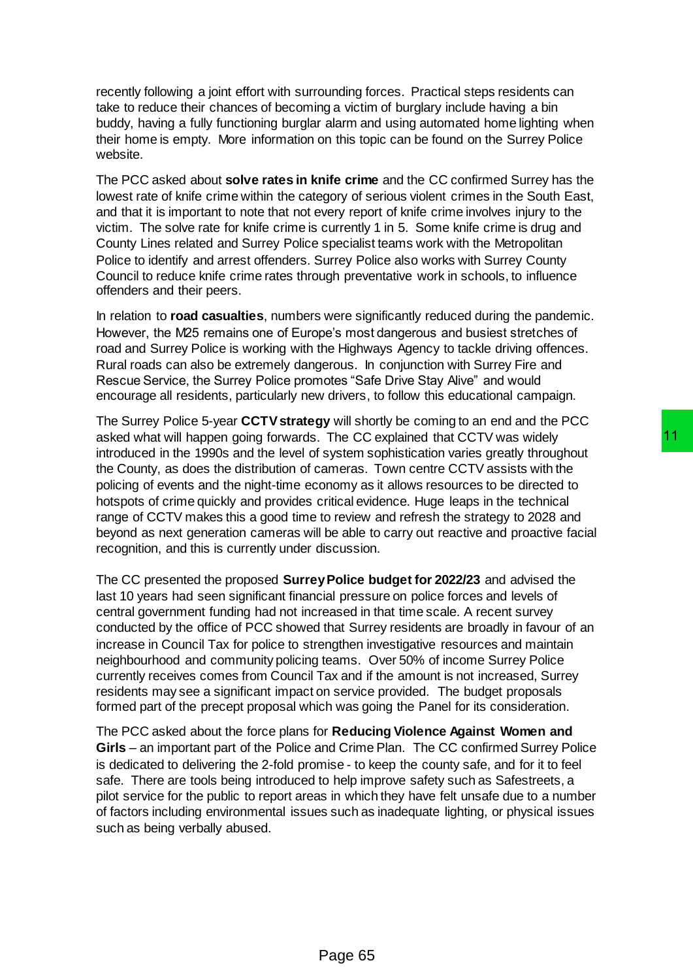recently following a joint effort with surrounding forces. Practical steps residents can take to reduce their chances of becoming a victim of burglary include having a bin buddy, having a fully functioning burglar alarm and using automated home lighting when their home is empty. More information on this topic can be found on the Surrey Police website.

The PCC asked about **solve rates in knife crime** and the CC confirmed Surrey has the lowest rate of knife crime within the category of serious violent crimes in the South East, and that it is important to note that not every report of knife crime involves injury to the victim. The solve rate for knife crime is currently 1 in 5. Some knife crime is drug and County Lines related and Surrey Police specialist teams work with the Metropolitan Police to identify and arrest offenders. Surrey Police also works with Surrey County Council to reduce knife crime rates through preventative work in schools, to influence offenders and their peers.

In relation to **road casualties**, numbers were significantly reduced during the pandemic. However, the M25 remains one of Europe's most dangerous and busiest stretches of road and Surrey Police is working with the Highways Agency to tackle driving offences. Rural roads can also be extremely dangerous. In conjunction with Surrey Fire and Rescue Service, the Surrey Police promotes "Safe Drive Stay Alive" and would encourage all residents, particularly new drivers, to follow this educational campaign.

The Surrey Police 5-year **CCTV strategy** will shortly be coming to an end and the PCC asked what will happen going forwards. The CC explained that CCTV was widely introduced in the 1990s and the level of system sophistication varies greatly throughout the County, as does the distribution of cameras. Town centre CCTV assists with the policing of events and the night-time economy as it allows resources to be directed to hotspots of crime quickly and provides critical evidence. Huge leaps in the technical range of CCTV makes this a good time to review and refresh the strategy to 2028 and beyond as next generation cameras will be able to carry out reactive and proactive facial recognition, and this is currently under discussion.

The CC presented the proposed **Surrey Police budget for 2022/23** and advised the last 10 years had seen significant financial pressure on police forces and levels of central government funding had not increased in that time scale. A recent survey conducted by the office of PCC showed that Surrey residents are broadly in favour of an increase in Council Tax for police to strengthen investigative resources and maintain neighbourhood and community policing teams. Over 50% of income Surrey Police currently receives comes from Council Tax and if the amount is not increased, Surrey residents may see a significant impact on service provided. The budget proposals formed part of the precept proposal which was going the Panel for its consideration. The CC explained that CCTV was widely<br>
system sophistication varies greatly throughout<br>
system sophistication varies greatly throughout<br>
circincal evidence. Huge leaps in the technical<br>
coreview and refresh the strategy to

The PCC asked about the force plans for **Reducing Violence Against Women and Girls** – an important part of the Police and Crime Plan. The CC confirmed Surrey Police is dedicated to delivering the 2-fold promise - to keep the county safe, and for it to feel safe. There are tools being introduced to help improve safety such as Safestreets, a pilot service for the public to report areas in which they have felt unsafe due to a number of factors including environmental issues such as inadequate lighting, or physical issues such as being verbally abused.